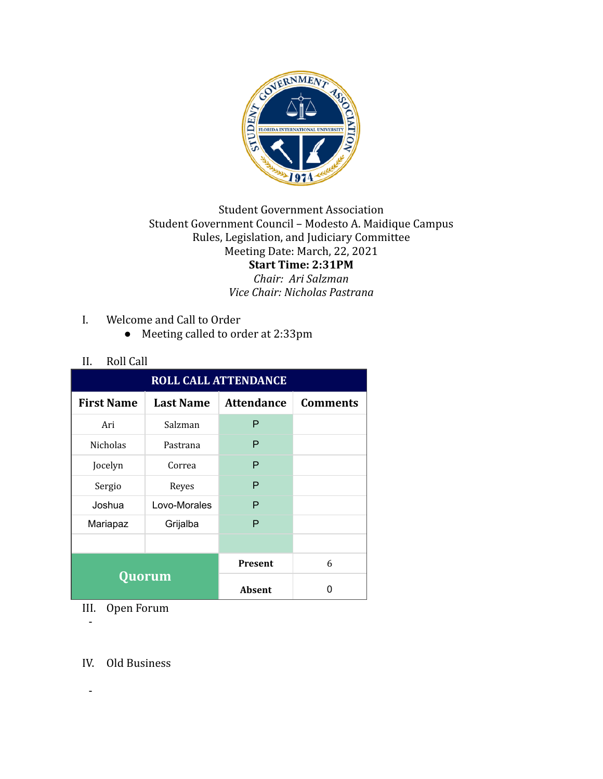

## **Student Government Association** Student Government Council - Modesto A. Maidique Campus Rules, Legislation, and Judiciary Committee Meeting Date: March, 22, 2021 **Start Time: 2:31PM**

*Chair: Ari Salzman Vice Chair: Nicholas Pastrana*

- I. Welcome and Call to Order
	- Meeting called to order at 2:33pm

## II. Roll Call

| <b>ROLL CALL ATTENDANCE</b> |                  |                   |                 |  |  |
|-----------------------------|------------------|-------------------|-----------------|--|--|
| <b>First Name</b>           | <b>Last Name</b> | <b>Attendance</b> | <b>Comments</b> |  |  |
| Ari                         | Salzman          | P                 |                 |  |  |
| <b>Nicholas</b>             | Pastrana         | P                 |                 |  |  |
| Jocelyn                     | Correa           | P                 |                 |  |  |
| Sergio                      | Reyes            | P                 |                 |  |  |
| Joshua                      | Lovo-Morales     | P                 |                 |  |  |
| Mariapaz                    | Grijalba         | P                 |                 |  |  |
|                             |                  |                   |                 |  |  |
| Quorum                      |                  | <b>Present</b>    | 6               |  |  |
|                             |                  | Absent            | O               |  |  |

III. Open Forum

-

IV. Old Business

-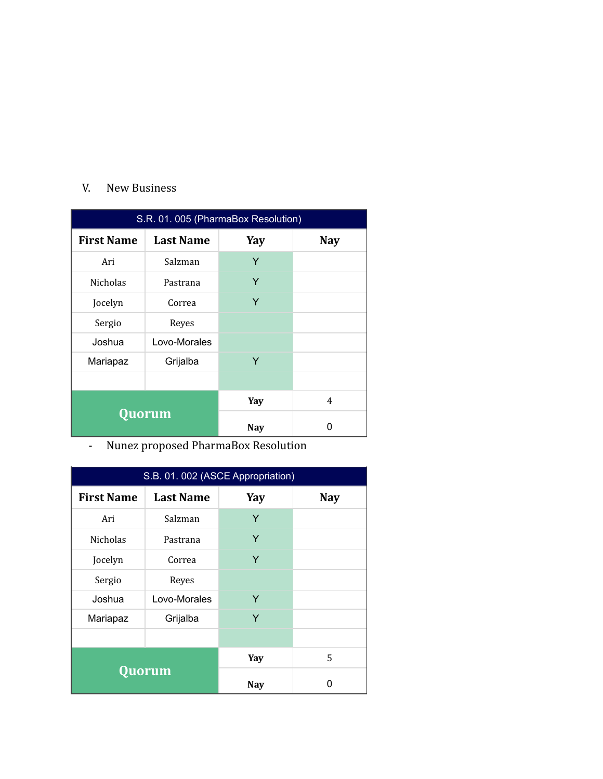## V. New Business

| S.R. 01. 005 (PharmaBox Resolution) |                  |            |            |  |
|-------------------------------------|------------------|------------|------------|--|
| <b>First Name</b>                   | <b>Last Name</b> | Yay        | <b>Nay</b> |  |
| Ari                                 | Salzman          | Y          |            |  |
| <b>Nicholas</b>                     | Pastrana         | Y          |            |  |
| Jocelyn                             | Correa           | Y          |            |  |
| Sergio                              | Reyes            |            |            |  |
| Joshua                              | Lovo-Morales     |            |            |  |
| Mariapaz                            | Grijalba         | Y          |            |  |
|                                     |                  |            |            |  |
| Quorum                              |                  | Yay        | 4          |  |
|                                     |                  | <b>Nay</b> | ŋ          |  |

- Nunez proposed PharmaBox Resolution

| S.B. 01. 002 (ASCE Appropriation) |                  |            |            |  |  |
|-----------------------------------|------------------|------------|------------|--|--|
| <b>First Name</b>                 | <b>Last Name</b> | Yay        | <b>Nay</b> |  |  |
| Ari                               | Salzman          | Y          |            |  |  |
| <b>Nicholas</b>                   | Pastrana         | Y          |            |  |  |
| Jocelyn                           | Correa           | Y          |            |  |  |
| Sergio                            | Reyes            |            |            |  |  |
| Joshua                            | Lovo-Morales     | Y          |            |  |  |
| Mariapaz                          | Grijalba         | Y          |            |  |  |
|                                   |                  |            |            |  |  |
| Quorum                            |                  | Yay        | 5          |  |  |
|                                   |                  | <b>Nay</b> | n          |  |  |